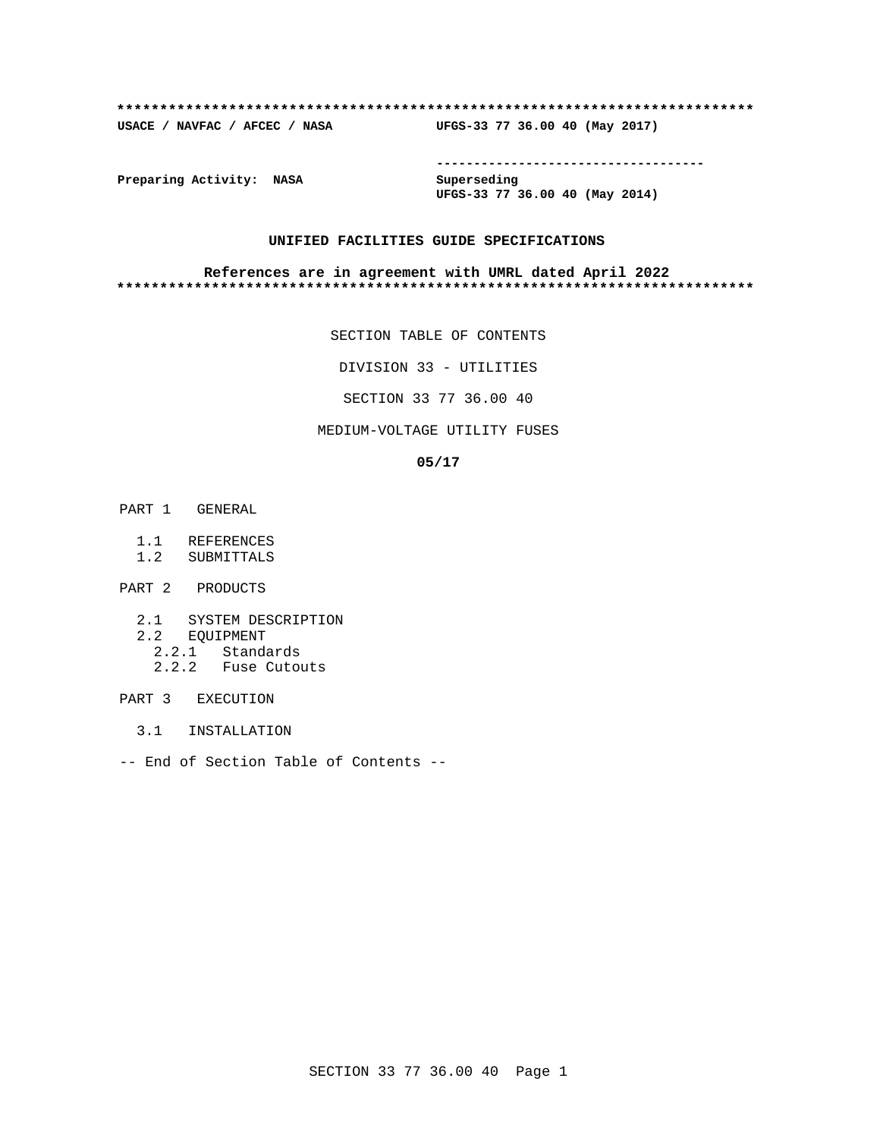### **\*\*\*\*\*\*\*\*\*\*\*\*\*\*\*\*\*\*\*\*\*\*\*\*\*\*\*\*\*\*\*\*\*\*\*\*\*\*\*\*\*\*\*\*\*\*\*\*\*\*\*\*\*\*\*\*\*\*\*\*\*\*\*\*\*\*\*\*\*\*\*\*\*\***

**USACE / NAVFAC / AFCEC / NASA UFGS-33 77 36.00 40 (May 2017)**

**------------------------------------**

**Preparing Activity: NASA Superseding**

**UFGS-33 77 36.00 40 (May 2014)**

# **UNIFIED FACILITIES GUIDE SPECIFICATIONS**

### **References are in agreement with UMRL dated April 2022 \*\*\*\*\*\*\*\*\*\*\*\*\*\*\*\*\*\*\*\*\*\*\*\*\*\*\*\*\*\*\*\*\*\*\*\*\*\*\*\*\*\*\*\*\*\*\*\*\*\*\*\*\*\*\*\*\*\*\*\*\*\*\*\*\*\*\*\*\*\*\*\*\*\***

SECTION TABLE OF CONTENTS

DIVISION 33 - UTILITIES

SECTION 33 77 36.00 40

# MEDIUM-VOLTAGE UTILITY FUSES

### **05/17**

- PART 1 GENERAL
	- 1.1 REFERENCES
	- 1.2 SUBMITTALS
- PART 2 PRODUCTS
	- 2.1 SYSTEM DESCRIPTION
	- 2.2 EQUIPMENT
- 2.2.1 Standards
- 2.2.2 Fuse Cutouts

# PART 3 EXECUTION

- 3.1 INSTALLATION
- -- End of Section Table of Contents --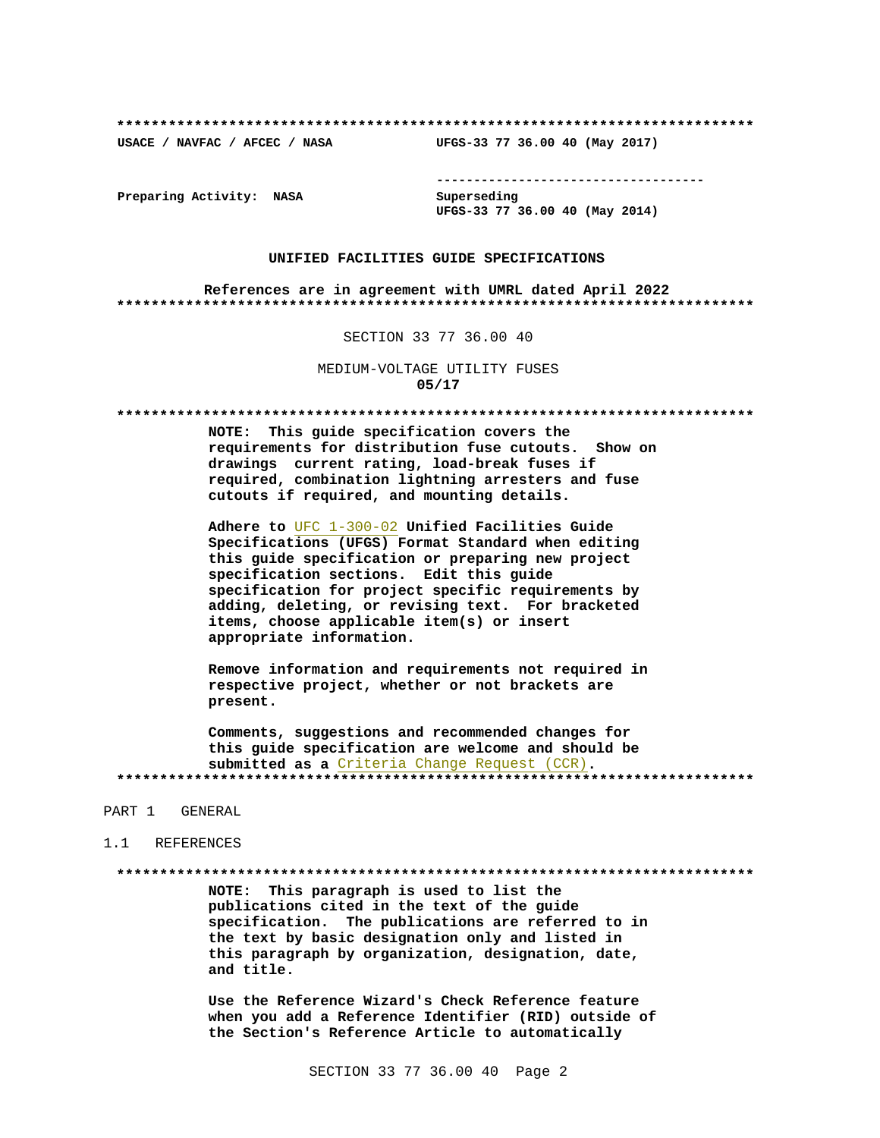USACE / NAVFAC / AFCEC / NASA

--------------------------------------

Preparing Activity: NASA

Superseding UFGS-33 77 36.00 40 (May 2014)

UFGS-33 77 36.00 40 (May 2017)

### UNIFIED FACILITIES GUIDE SPECIFICATIONS

References are in agreement with UMRL dated April 2022 

### SECTION 33 77 36.00 40

MEDIUM-VOLTAGE UTILITY FUSES  $05/17$ 

NOTE: This guide specification covers the requirements for distribution fuse cutouts. Show on drawings current rating, load-break fuses if required, combination lightning arresters and fuse cutouts if required, and mounting details.

Adhere to UFC 1-300-02 Unified Facilities Guide Specifications (UFGS) Format Standard when editing this guide specification or preparing new project specification sections. Edit this guide specification for project specific requirements by adding, deleting, or revising text. For bracketed items, choose applicable item(s) or insert appropriate information.

Remove information and requirements not required in respective project, whether or not brackets are present.

Comments, suggestions and recommended changes for this guide specification are welcome and should be submitted as a Criteria Change Request (CCR). 

### PART 1 GENERAL

### 1.1 REFERENCES

### 

NOTE: This paragraph is used to list the publications cited in the text of the guide specification. The publications are referred to in the text by basic designation only and listed in this paragraph by organization, designation, date, and title.

Use the Reference Wizard's Check Reference feature when you add a Reference Identifier (RID) outside of the Section's Reference Article to automatically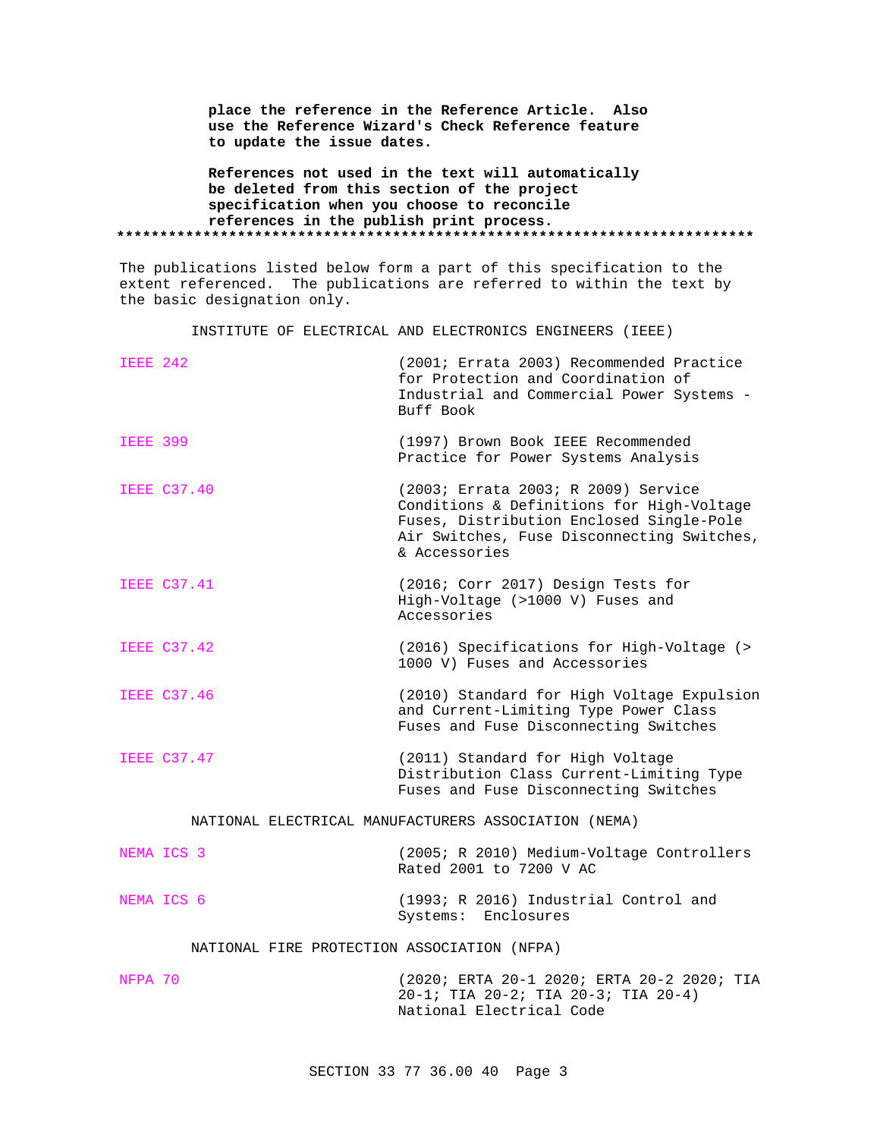| place the reference in the Reference Article. Also |
|----------------------------------------------------|
| use the Reference Wizard's Check Reference feature |
| to update the issue dates.                         |
| References not used in the text will automatically |
| be deleted from this section of the project        |
| specification when you choose to reconcile         |
| references in the publish print process.           |
|                                                    |

The publications listed below form a part of this specification to the extent referenced. The publications are referred to within the text by the basic designation only.

INSTITUTE OF ELECTRICAL AND ELECTRONICS ENGINEERS (IEEE)

| <b>IEEE 242</b> |                                             | (2001; Errata 2003) Recommended Practice<br>for Protection and Coordination of<br>Industrial and Commercial Power Systems -<br>Buff Book                                                    |
|-----------------|---------------------------------------------|---------------------------------------------------------------------------------------------------------------------------------------------------------------------------------------------|
| <b>IEEE 399</b> |                                             | (1997) Brown Book IEEE Recommended<br>Practice for Power Systems Analysis                                                                                                                   |
|                 | <b>IEEE C37.40</b>                          | (2003; Errata 2003; R 2009) Service<br>Conditions & Definitions for High-Voltage<br>Fuses, Distribution Enclosed Single-Pole<br>Air Switches, Fuse Disconnecting Switches,<br>& Accessories |
|                 | <b>IEEE C37.41</b>                          | (2016; Corr 2017) Design Tests for<br>High-Voltage (>1000 V) Fuses and<br>Accessories                                                                                                       |
|                 | <b>IEEE C37.42</b>                          | (2016) Specifications for High-Voltage (><br>1000 V) Fuses and Accessories                                                                                                                  |
|                 | <b>IEEE C37.46</b>                          | (2010) Standard for High Voltage Expulsion<br>and Current-Limiting Type Power Class<br>Fuses and Fuse Disconnecting Switches                                                                |
|                 | <b>IEEE C37.47</b>                          | (2011) Standard for High Voltage<br>Distribution Class Current-Limiting Type<br>Fuses and Fuse Disconnecting Switches                                                                       |
|                 |                                             | NATIONAL ELECTRICAL MANUFACTURERS ASSOCIATION (NEMA)                                                                                                                                        |
|                 | NEMA ICS 3                                  | (2005; R 2010) Medium-Voltage Controllers<br>Rated 2001 to 7200 V AC                                                                                                                        |
|                 | NEMA ICS 6                                  | (1993; R 2016) Industrial Control and<br>Systems: Enclosures                                                                                                                                |
|                 | NATIONAL FIRE PROTECTION ASSOCIATION (NFPA) |                                                                                                                                                                                             |
| NFPA 70         |                                             | (2020; ERTA 20-1 2020; ERTA 20-2 2020; TIA<br>20-1; TIA 20-2; TIA 20-3; TIA 20-4)                                                                                                           |

National Electrical Code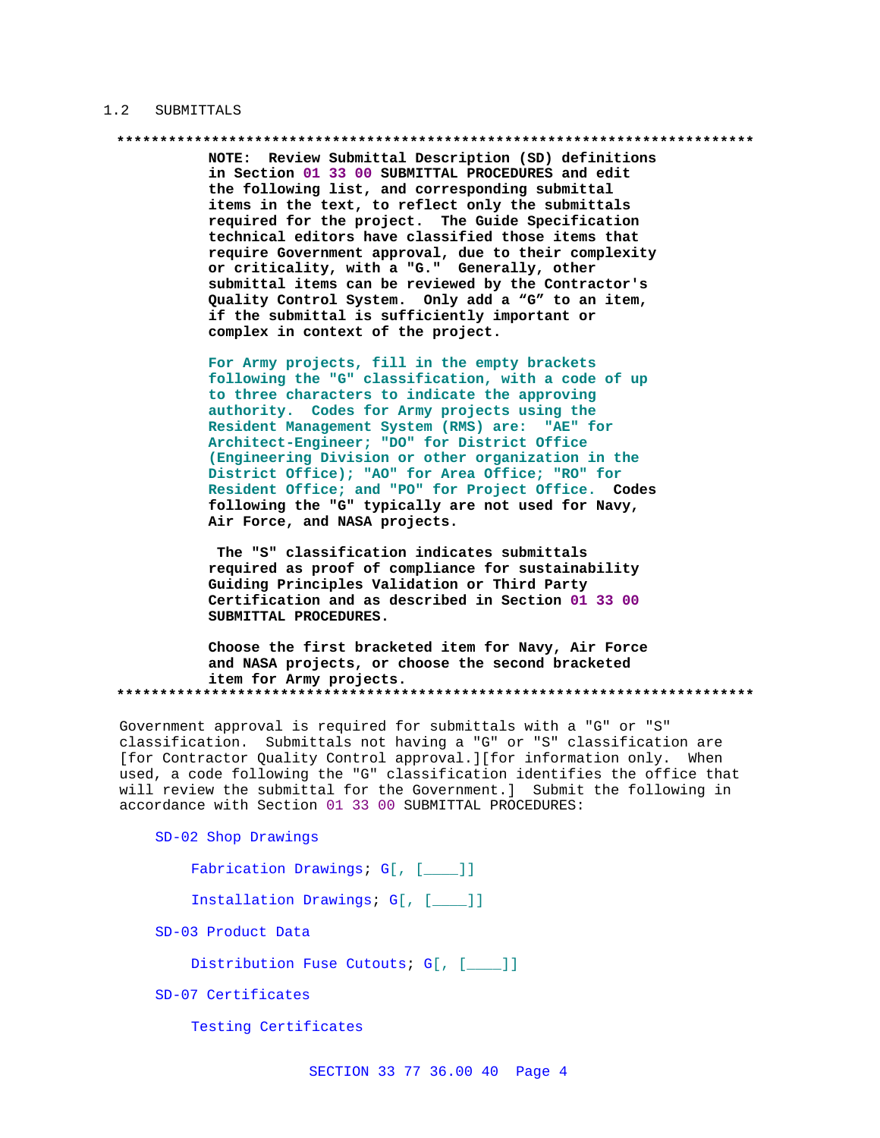### 1.2 SUBMITTALS

NOTE: Review Submittal Description (SD) definitions in Section 01 33 00 SUBMITTAL PROCEDURES and edit the following list, and corresponding submittal items in the text, to reflect only the submittals required for the project. The Guide Specification technical editors have classified those items that require Government approval, due to their complexity or criticality, with a "G." Generally, other submittal items can be reviewed by the Contractor's Quality Control System. Only add a "G" to an item, if the submittal is sufficiently important or complex in context of the project.

For Army projects, fill in the empty brackets following the "G" classification, with a code of up to three characters to indicate the approving authority. Codes for Army projects using the Resident Management System (RMS) are: "AE" for Architect-Engineer; "DO" for District Office (Engineering Division or other organization in the District Office); "AO" for Area Office; "RO" for Resident Office; and "PO" for Project Office. Codes following the "G" typically are not used for Navy, Air Force, and NASA projects.

The "S" classification indicates submittals required as proof of compliance for sustainability Guiding Principles Validation or Third Party Certification and as described in Section 01 33 00 SUBMITTAL PROCEDURES.

Choose the first bracketed item for Navy, Air Force and NASA projects, or choose the second bracketed item for Army projects. 

Government approval is required for submittals with a "G" or "S" classification. Submittals not having a "G" or "S" classification are [for Contractor Quality Control approval.][for information only. When used, a code following the "G" classification identifies the office that will review the submittal for the Government.] Submit the following in accordance with Section 01 33 00 SUBMITTAL PROCEDURES:

SD-02 Shop Drawings

Fabrication Drawings; G[, [\_\_\_]]

Installation Drawings; G[, [\_\_\_]]

SD-03 Product Data

Distribution Fuse Cutouts; G[, [\_\_\_]]

SD-07 Certificates

Testing Certificates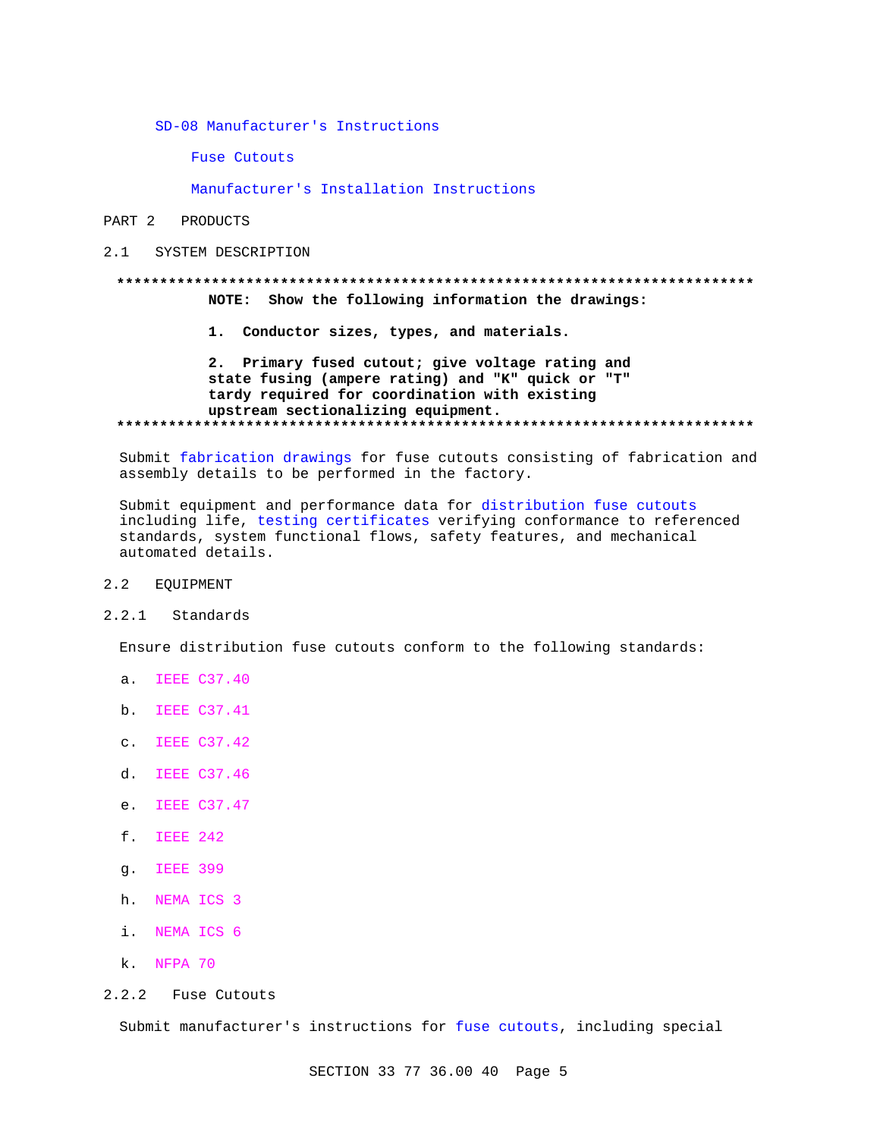SD-08 Manufacturer's Instructions

**Fuse Cutouts** 

Manufacturer's Installation Instructions

# PART 2 PRODUCTS

2.1 SYSTEM DESCRIPTION

# NOTE: Show the following information the drawings:

1. Conductor sizes, types, and materials.

# 2. Primary fused cutout; give voltage rating and state fusing (ampere rating) and "K" quick or "T" tardy required for coordination with existing upstream sectionalizing equipment.

Submit fabrication drawings for fuse cutouts consisting of fabrication and assembly details to be performed in the factory.

Submit equipment and performance data for distribution fuse cutouts including life, testing certificates verifying conformance to referenced standards, system functional flows, safety features, and mechanical automated details.

#### $2.2$ **EOUIPMENT**

# 2.2.1 Standards

Ensure distribution fuse cutouts conform to the following standards:

- a. IEEE C37.40
- b. IEEE C37.41
- c. IEEE C37.42
- d. IEEE C37.46
- e. IEEE C37.47
- f. IEEE 242
- q. IEEE 399
- h. NEMA ICS 3
- i. NEMA ICS 6
- k. NFPA 70
- 2.2.2 Fuse Cutouts

Submit manufacturer's instructions for fuse cutouts, including special